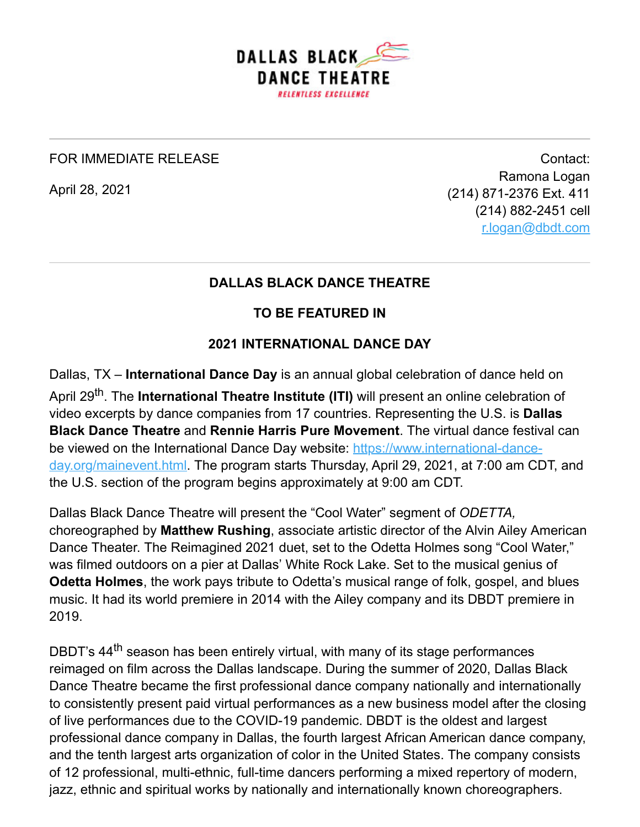

## FOR IMMEDIATE RELEASE

April 28, 2021

Contact: Ramona Logan (214) 871-2376 Ext. 411 (214) 882-2451 cell [r.logan@dbdt.com](mailto:r.logan@dbdt.com)

## **DALLAS BLACK DANCE THEATRE**

## **TO BE FEATURED IN**

## **2021 INTERNATIONAL DANCE DAY**

Dallas, TX – **International Dance Day** is an annual global celebration of dance held on April 29<sup>th</sup>. The **International Theatre Institute (ITI)** will present an online celebration of video excerpts by dance companies from 17 countries. Representing the U.S. is **Dallas Black Dance Theatre** and **Rennie Harris Pure Movement**. The virtual dance festival can [be viewed on the International Dance Day website: https://www.international-dance](https://www.international-dance-day.org/mainevent.html)day.org/mainevent.html. The program starts Thursday, April 29, 2021, at 7:00 am CDT, and the U.S. section of the program begins approximately at 9:00 am CDT.

Dallas Black Dance Theatre will present the "Cool Water" segment of *ODETTA,* choreographed by **Matthew Rushing**, associate artistic director of the Alvin Ailey American Dance Theater. The Reimagined 2021 duet, set to the Odetta Holmes song "Cool Water," was filmed outdoors on a pier at Dallas' White Rock Lake. Set to the musical genius of **Odetta Holmes**, the work pays tribute to Odetta's musical range of folk, gospel, and blues music. It had its world premiere in 2014 with the Ailey company and its DBDT premiere in 2019.

DBDT's 44<sup>th</sup> season has been entirely virtual, with many of its stage performances reimaged on film across the Dallas landscape. During the summer of 2020, Dallas Black Dance Theatre became the first professional dance company nationally and internationally to consistently present paid virtual performances as a new business model after the closing of live performances due to the COVID-19 pandemic. DBDT is the oldest and largest professional dance company in Dallas, the fourth largest African American dance company, and the tenth largest arts organization of color in the United States. The company consists of 12 professional, multi-ethnic, full-time dancers performing a mixed repertory of modern, jazz, ethnic and spiritual works by nationally and internationally known choreographers.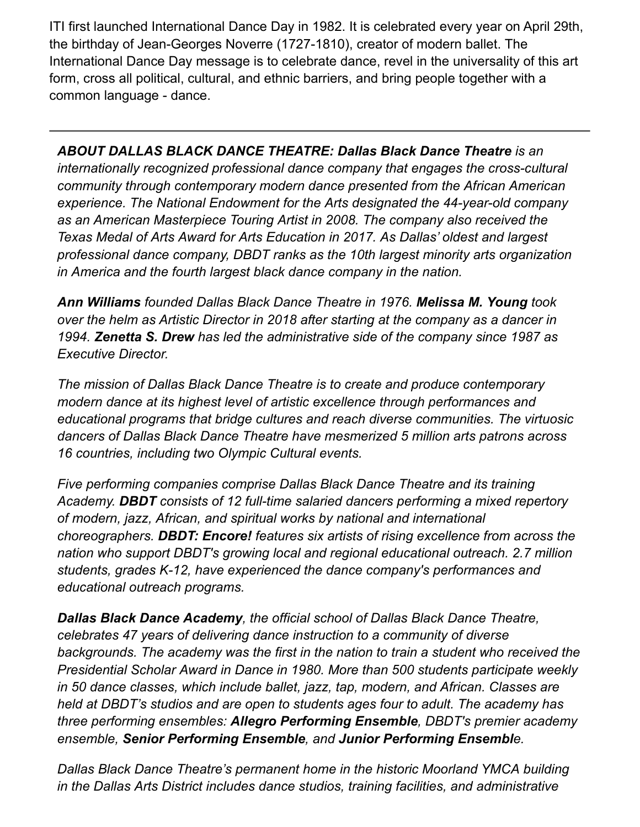ITI first launched International Dance Day in 1982. It is celebrated every year on April 29th, the birthday of Jean-Georges Noverre (1727-1810), creator of modern ballet. The International Dance Day message is to celebrate dance, revel in the universality of this art form, cross all political, cultural, and ethnic barriers, and bring people together with a common language - dance.

*ABOUT DALLAS BLACK DANCE THEATRE: Dallas Black Dance Theatre is an internationally recognized professional dance company that engages the cross-cultural community through contemporary modern dance presented from the African American experience. The National Endowment for the Arts designated the 44-year-old company as an American Masterpiece Touring Artist in 2008. The company also received the Texas Medal of Arts Award for Arts Education in 2017. As Dallas' oldest and largest professional dance company, DBDT ranks as the 10th largest minority arts organization in America and the fourth largest black dance company in the nation.* 

*Ann Williams founded Dallas Black Dance Theatre in 1976. Melissa M. Young took over the helm as Artistic Director in 2018 after starting at the company as a dancer in 1994. Zenetta S. Drew has led the administrative side of the company since 1987 as Executive Director.*

*The mission of Dallas Black Dance Theatre is to create and produce contemporary modern dance at its highest level of artistic excellence through performances and educational programs that bridge cultures and reach diverse communities. The virtuosic dancers of Dallas Black Dance Theatre have mesmerized 5 million arts patrons across 16 countries, including two Olympic Cultural events.*

*Five performing companies comprise Dallas Black Dance Theatre and its training Academy. DBDT consists of 12 full-time salaried dancers performing a mixed repertory of modern, jazz, African, and spiritual works by national and international choreographers. DBDT: Encore! features six artists of rising excellence from across the nation who support DBDT's growing local and regional educational outreach. 2.7 million students, grades K-12, have experienced the dance company's performances and educational outreach programs.* 

*Dallas Black Dance Academy, the official school of Dallas Black Dance Theatre, celebrates 47 years of delivering dance instruction to a community of diverse backgrounds. The academy was the first in the nation to train a student who received the Presidential Scholar Award in Dance in 1980. More than 500 students participate weekly in 50 dance classes, which include ballet, jazz, tap, modern, and African. Classes are held at DBDT's studios and are open to students ages four to adult. The academy has three performing ensembles: Allegro Performing Ensemble, DBDT's premier academy ensemble, Senior Performing Ensemble, and Junior Performing Ensemble.*

*Dallas Black Dance Theatre's permanent home in the historic Moorland YMCA building in the Dallas Arts District includes dance studios, training facilities, and administrative*